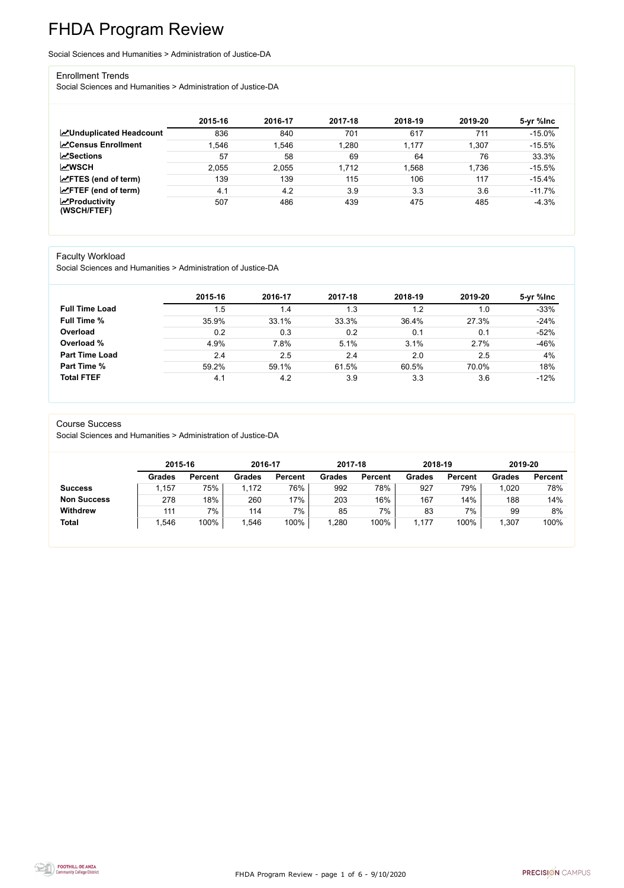FHDA Program Review - page 1 of 6 - 9/10/2020



# FHDA Program Review

Social Sciences and Humanities > Administration of Justice-DA

#### Enrollment Trends

Social Sciences and Humanities > Administration of Justice-DA

|                                                  | 2015-16 | 2016-17 | 2017-18 | 2018-19 | 2019-20 | 5-yr %lnc |
|--------------------------------------------------|---------|---------|---------|---------|---------|-----------|
| <b>ZUnduplicated Headcount</b>                   | 836     | 840     | 701     | 617     | 711     | $-15.0\%$ |
| <b>∠</b> Census Enrollment                       | .546    | .546    | 1,280   | 1,177   | 1,307   | $-15.5%$  |
| <b>ZSections</b>                                 | 57      | 58      | 69      | 64      | 76      | 33.3%     |
| <b>MWSCH</b>                                     | 2,055   | 2,055   | 1,712   | 1,568   | 1,736   | $-15.5%$  |
| $\angle$ FTES (end of term)                      | 139     | 139     | 115     | 106     | 117     | $-15.4%$  |
| $\angle$ FTEF (end of term)                      | 4.1     | 4.2     | 3.9     | 3.3     | 3.6     | $-11.7%$  |
| $\sqrt{\frac{1}{2}}$ Productivity<br>(WSCH/FTEF) | 507     | 486     | 439     | 475     | 485     | $-4.3%$   |

### Faculty Workload

Social Sciences and Humanities > Administration of Justice-DA

|                       | 2015-16 | 2016-17 | 2017-18 | 2018-19 | 2019-20 | 5-yr %lnc |
|-----------------------|---------|---------|---------|---------|---------|-----------|
| <b>Full Time Load</b> | 1.5     | 1.4     | 1.3     | 1.2     | 1.0     | $-33%$    |
| <b>Full Time %</b>    | 35.9%   | 33.1%   | 33.3%   | 36.4%   | 27.3%   | $-24%$    |
| Overload              | 0.2     | 0.3     | 0.2     | 0.1     | 0.1     | $-52%$    |
| Overload %            | 4.9%    | 7.8%    | 5.1%    | 3.1%    | 2.7%    | $-46%$    |
| <b>Part Time Load</b> | 2.4     | 2.5     | 2.4     | 2.0     | 2.5     | 4%        |
| <b>Part Time %</b>    | 59.2%   | 59.1%   | 61.5%   | 60.5%   | 70.0%   | 18%       |
| <b>Total FTEF</b>     | 4.1     | 4.2     | 3.9     | 3.3     | 3.6     | $-12%$    |

#### Course Success

Social Sciences and Humanities > Administration of Justice-DA

|                    |               | 2015-16        |               | 2016-17        | 2017-18       |                | 2018-19       |                | 2019-20       |                |
|--------------------|---------------|----------------|---------------|----------------|---------------|----------------|---------------|----------------|---------------|----------------|
|                    | <b>Grades</b> | <b>Percent</b> | <b>Grades</b> | <b>Percent</b> | <b>Grades</b> | <b>Percent</b> | <b>Grades</b> | <b>Percent</b> | <b>Grades</b> | <b>Percent</b> |
| <b>Success</b>     | ,157          | 75%            | .172          | 76%            | 992           | 78%            | 927           | 79%            | 1,020         | 78%            |
| <b>Non Success</b> | 278           | 18%            | 260           | 17%            | 203           | 16%            | 167           | 14%            | 188           | 14%            |
| <b>Withdrew</b>    | 111           | 7%             | 114           | 7%             | 85            | 7%             | 83            | 7%             | 99            | 8%             |
| <b>Total</b>       | .546          | 100%           | .546          | 100%           | ,280          | 100%           | 177           | 100%           | 1,307         | 100%           |

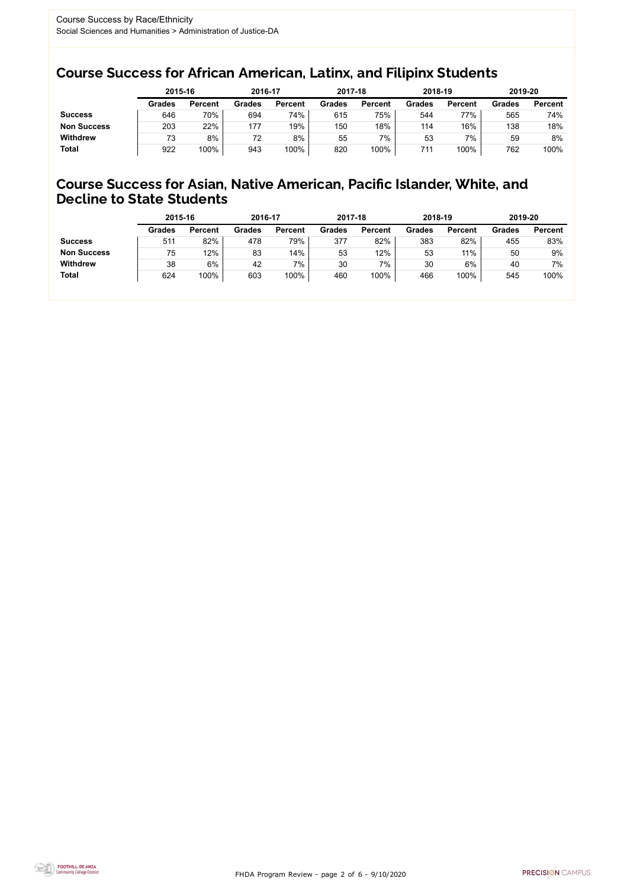FHDA Program Review - page 2 of 6 - 9/10/2020



### Course Success for African American, Latinx, and Filipinx Students

### Course Success for Asian, Native American, Pacific Islander, White, and Decline to State Students

|                    | 2015-16       |                | 2016-17       |                | 2017-18       |                | 2018-19       |                | 2019-20       |                |
|--------------------|---------------|----------------|---------------|----------------|---------------|----------------|---------------|----------------|---------------|----------------|
|                    | <b>Grades</b> | <b>Percent</b> | <b>Grades</b> | <b>Percent</b> | <b>Grades</b> | <b>Percent</b> | <b>Grades</b> | <b>Percent</b> | <b>Grades</b> | <b>Percent</b> |
| <b>Success</b>     | 646           | 70%            | 694           | 74%            | 615           | 75%            | 544           | 77%            | 565           | 74%            |
| <b>Non Success</b> | 203           | 22%            | 177           | 19%            | 150           | 18%            | 114           | 16%            | 138           | 18%            |
| <b>Withdrew</b>    | 73            | 8%             | 72            | 8%             | 55            | 7%             | 53            | 7%             | 59            | 8%             |
| <b>Total</b>       | 922           | 100%           | 943           | 100%           | 820           | 100%           | 711           | 100%           | 762           | 100%           |

|                    | 2015-16       |                | 2016-17       |                | 2017-18       |                | 2018-19       |                | 2019-20       |                |
|--------------------|---------------|----------------|---------------|----------------|---------------|----------------|---------------|----------------|---------------|----------------|
|                    | <b>Grades</b> | <b>Percent</b> | <b>Grades</b> | <b>Percent</b> | <b>Grades</b> | <b>Percent</b> | <b>Grades</b> | <b>Percent</b> | <b>Grades</b> | <b>Percent</b> |
| <b>Success</b>     | 511           | 82%            | 478           | 79%            | 377           | 82%            | 383           | 82%            | 455           | 83%            |
| <b>Non Success</b> | 75            | 12%            | 83            | 14%            | 53            | 12%            | 53            | 11%            | 50            | 9%             |
| <b>Withdrew</b>    | 38            | 6%             | 42            | 7%             | 30            | 7%             | 30            | 6%             | 40            | 7%             |
| <b>Total</b>       | 624           | 100%           | 603           | 100%           | 460           | 100%           | 466           | 100%           | 545           | 100%           |
|                    |               |                |               |                |               |                |               |                |               |                |

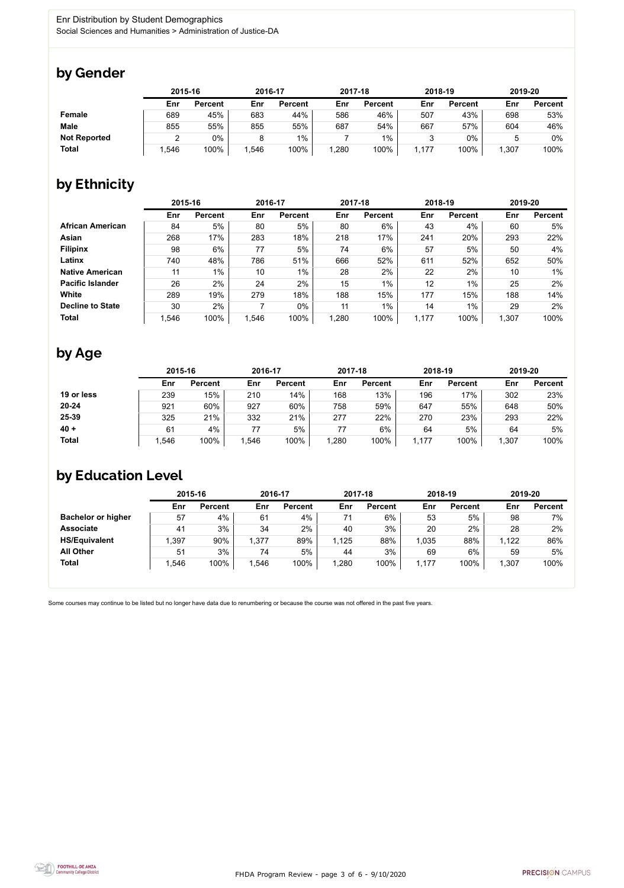

Some courses may continue to be listed but no longer have data due to renumbering or because the course was not offered in the past five years.



### by Gender

|                     | 2015-16 |                |      | 2016-17        |       | 2017-18        | 2018-19 |                | 2019-20 |                |
|---------------------|---------|----------------|------|----------------|-------|----------------|---------|----------------|---------|----------------|
|                     | Enr     | <b>Percent</b> | Enr  | <b>Percent</b> | Enr   | <b>Percent</b> | Enr     | <b>Percent</b> | Enr     | <b>Percent</b> |
| <b>Female</b>       | 689     | 45%            | 683  | 44%            | 586   | 46%            | 507     | 43%            | 698     | 53%            |
| <b>Male</b>         | 855     | 55%            | 855  | 55%            | 687   | 54%            | 667     | 57%            | 604     | 46%            |
| <b>Not Reported</b> | ▃       | 0%             |      | $1\%$          |       | 1%             |         | 0%             |         | 0%             |
| <b>Total</b>        | ,546    | 100%           | ,546 | 100%           | 1,280 | 100%           | ,177    | 100%           | 1,307   | 100%           |

### by Ethnicity

|                         | 2015-16 |                |       | 2016-17        |       | 2017-18        | 2018-19 |                | 2019-20 |                |
|-------------------------|---------|----------------|-------|----------------|-------|----------------|---------|----------------|---------|----------------|
|                         | Enr     | <b>Percent</b> | Enr   | <b>Percent</b> | Enr   | <b>Percent</b> | Enr     | <b>Percent</b> | Enr     | <b>Percent</b> |
| <b>African American</b> | 84      | 5%             | 80    | 5%             | 80    | 6%             | 43      | 4%             | 60      | 5%             |
| Asian                   | 268     | 17%            | 283   | 18%            | 218   | 17%            | 241     | 20%            | 293     | 22%            |
| <b>Filipinx</b>         | 98      | 6%             | 77    | 5%             | 74    | 6%             | 57      | 5%             | 50      | 4%             |
| Latinx                  | 740     | 48%            | 786   | 51%            | 666   | 52%            | 611     | 52%            | 652     | 50%            |
| <b>Native American</b>  | 11      | $1\%$          | 10    | $1\%$          | 28    | 2%             | 22      | 2%             | 10      | $1\%$          |
| <b>Pacific Islander</b> | 26      | 2%             | 24    | 2%             | 15    | $1\%$          | 12      | $1\%$          | 25      | 2%             |
| White                   | 289     | 19%            | 279   | 18%            | 188   | 15%            | 177     | 15%            | 188     | 14%            |
| <b>Decline to State</b> | 30      | 2%             |       | $0\%$          | 11    | $1\%$          | 14      | $1\%$          | 29      | 2%             |
| <b>Total</b>            | 1,546   | 100%           | 1,546 | 100%           | 1,280 | 100%           | 1,177   | 100%           | 1,307   | 100%           |

## by Age

|              | 2015-16 |                | 2016-17 |                | 2017-18 |                | 2018-19 |                | 2019-20 |                |
|--------------|---------|----------------|---------|----------------|---------|----------------|---------|----------------|---------|----------------|
|              | Enr     | <b>Percent</b> | Enr     | <b>Percent</b> | Enr     | <b>Percent</b> | Enr     | <b>Percent</b> | Enr     | <b>Percent</b> |
| 19 or less   | 239     | 15%            | 210     | 14%            | 168     | 13%            | 196     | 17%            | 302     | 23%            |
| $20 - 24$    | 921     | 60%            | 927     | 60%            | 758     | 59%            | 647     | 55%            | 648     | 50%            |
| 25-39        | 325     | 21%            | 332     | 21%            | 277     | 22%            | 270     | 23%            | 293     | 22%            |
| $40 +$       | 61      | 4%             |         | 5%             | 77      | 6%             | 64      | 5%             | 64      | 5%             |
| <b>Total</b> | ,546    | 100%           | ,546    | 100%           | ,280    | 100%           | 1,177   | 100%           | 1,307   | 100%           |

### by Education Level

|                           | 2015-16 |                |       | 2016-17        |       | 2017-18        | 2018-19 |                | 2019-20 |                |
|---------------------------|---------|----------------|-------|----------------|-------|----------------|---------|----------------|---------|----------------|
|                           | Enr     | <b>Percent</b> | Enr   | <b>Percent</b> | Enr   | <b>Percent</b> | Enr     | <b>Percent</b> | Enr     | <b>Percent</b> |
| <b>Bachelor or higher</b> | 57      | 4%             | 61    | 4%             | 71    | 6%             | 53      | 5%             | 98      | 7%             |
| <b>Associate</b>          | 41      | 3%             | 34    | 2%             | 40    | 3%             | 20      | 2%             | 28      | 2%             |
| <b>HS/Equivalent</b>      | ,397    | 90%            | 1,377 | 89%            | 1,125 | 88%            | 1,035   | 88%            | 1,122   | 86%            |
| <b>All Other</b>          | 51      | 3%             | 74    | 5%             | 44    | 3%             | 69      | 6%             | 59      | 5%             |
| <b>Total</b>              | ,546    | 100%           | 1,546 | 100%           | ,280  | 100%           | 1,177   | 100%           | 1,307   | 100%           |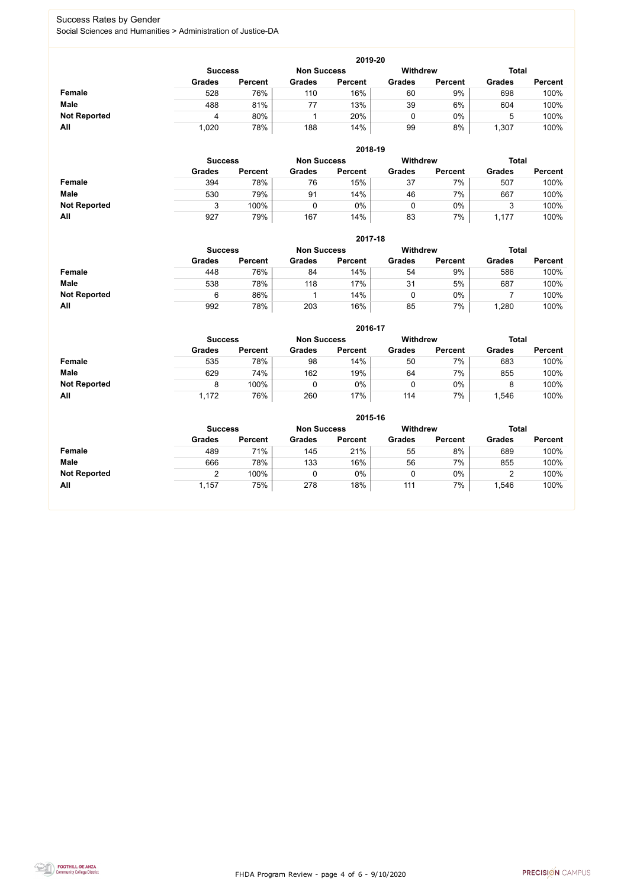FHDA Program Review - page 4 of 6 - 9/10/2020



### Success Rates by Gender Social Sciences and Humanities > Administration of Justice-DA

|                     | 2019-20        |                |                    |                 |               |                |               |                |  |  |  |  |  |
|---------------------|----------------|----------------|--------------------|-----------------|---------------|----------------|---------------|----------------|--|--|--|--|--|
|                     | <b>Success</b> |                | <b>Non Success</b> | <b>Withdrew</b> |               | <b>Total</b>   |               |                |  |  |  |  |  |
|                     | <b>Grades</b>  | <b>Percent</b> | <b>Grades</b>      | <b>Percent</b>  | <b>Grades</b> | <b>Percent</b> | <b>Grades</b> | <b>Percent</b> |  |  |  |  |  |
| <b>Female</b>       | 528            | 76%            | 110                | 16%             | 60            | 9%             | 698           | 100%           |  |  |  |  |  |
| <b>Male</b>         | 488            | 81%            | 77                 | 13%             | 39            | 6%             | 604           | 100%           |  |  |  |  |  |
| <b>Not Reported</b> | Д              | 80%            |                    | 20%             |               | $0\%$          |               | 100%           |  |  |  |  |  |
| All                 | 1,020          | 78%            | 188                | 14%             | 99            | 8%             | 1,307         | 100%           |  |  |  |  |  |

|                     |                | 2018-19        |                    |                |                 |                |               |                |  |  |  |  |  |
|---------------------|----------------|----------------|--------------------|----------------|-----------------|----------------|---------------|----------------|--|--|--|--|--|
|                     | <b>Success</b> |                | <b>Non Success</b> |                | <b>Withdrew</b> |                | <b>Total</b>  |                |  |  |  |  |  |
|                     | <b>Grades</b>  | <b>Percent</b> | <b>Grades</b>      | <b>Percent</b> | <b>Grades</b>   | <b>Percent</b> | <b>Grades</b> | <b>Percent</b> |  |  |  |  |  |
| <b>Female</b>       | 394            | 78%            | 76                 | 15%            | 37              | 7%             | 507           | 100%           |  |  |  |  |  |
| <b>Male</b>         | 530            | 79%            | 91                 | 14%            | 46              | 7%             | 667           | 100%           |  |  |  |  |  |
| <b>Not Reported</b> |                | 100%           |                    | $0\%$          | U               | $0\%$          |               | 100%           |  |  |  |  |  |
| All                 | 927            | 79%            | 167                | 14%            | 83              | 7%             | 1,177         | 100%           |  |  |  |  |  |

|                     |                | 2017-18        |                    |                |                 |                |               |                |  |  |  |  |  |
|---------------------|----------------|----------------|--------------------|----------------|-----------------|----------------|---------------|----------------|--|--|--|--|--|
|                     | <b>Success</b> |                | <b>Non Success</b> |                | <b>Withdrew</b> |                |               | <b>Total</b>   |  |  |  |  |  |
|                     | <b>Grades</b>  | <b>Percent</b> | <b>Grades</b>      | <b>Percent</b> | <b>Grades</b>   | <b>Percent</b> | <b>Grades</b> | <b>Percent</b> |  |  |  |  |  |
| Female              | 448            | 76%            | 84                 | 14%            | 54              | 9%             | 586           | 100%           |  |  |  |  |  |
| <b>Male</b>         | 538            | 78%            | 118                | 17%            | 31              | 5%             | 687           | 100%           |  |  |  |  |  |
| <b>Not Reported</b> | 6              | 86%            |                    | 14%            | 0               | $0\%$          |               | 100%           |  |  |  |  |  |
| All                 | 992            | 78%            | 203                | 16%            | 85              | 7%             | ,280          | 100%           |  |  |  |  |  |

|                     |               | 2016-17                              |               |                |               |                 |               |                |  |  |
|---------------------|---------------|--------------------------------------|---------------|----------------|---------------|-----------------|---------------|----------------|--|--|
|                     |               | <b>Non Success</b><br><b>Success</b> |               |                |               | <b>Withdrew</b> | <b>Total</b>  |                |  |  |
|                     | <b>Grades</b> | <b>Percent</b>                       | <b>Grades</b> | <b>Percent</b> | <b>Grades</b> | <b>Percent</b>  | <b>Grades</b> | <b>Percent</b> |  |  |
| <b>Female</b>       | 535           | 78%                                  | 98            | 14%            | 50            | 7%              | 683           | 100%           |  |  |
| <b>Male</b>         | 629           | 74%                                  | 162           | 19%            | 64            | 7%              | 855           | 100%           |  |  |
| <b>Not Reported</b> | 8             | 100%                                 |               | 0%             |               | $0\%$           |               | 100%           |  |  |
| All                 | 1,172         | 76%                                  | 260           | 17%            | 114           | 7%              | ,546          | 100%           |  |  |

|                     |                | 2015-16            |               |                |               |                |               |                |  |  |
|---------------------|----------------|--------------------|---------------|----------------|---------------|----------------|---------------|----------------|--|--|
|                     | <b>Success</b> | <b>Non Success</b> |               | Withdrew       |               | <b>Total</b>   |               |                |  |  |
|                     | <b>Grades</b>  | <b>Percent</b>     | <b>Grades</b> | <b>Percent</b> | <b>Grades</b> | <b>Percent</b> | <b>Grades</b> | <b>Percent</b> |  |  |
| Female              | 489            | 71%                | 145           | 21%            | 55            | 8%             | 689           | 100%           |  |  |
| <b>Male</b>         | 666            | 78%                | 133           | 16%            | 56            | 7%             | 855           | 100%           |  |  |
| <b>Not Reported</b> | ◠              | 100%               | 0             | $0\%$          | ν             | $0\%$          |               | 100%           |  |  |
| All                 | 1,157          | 75%                | 278           | 18%            | 111           | 7%             | ,546          | 100%           |  |  |

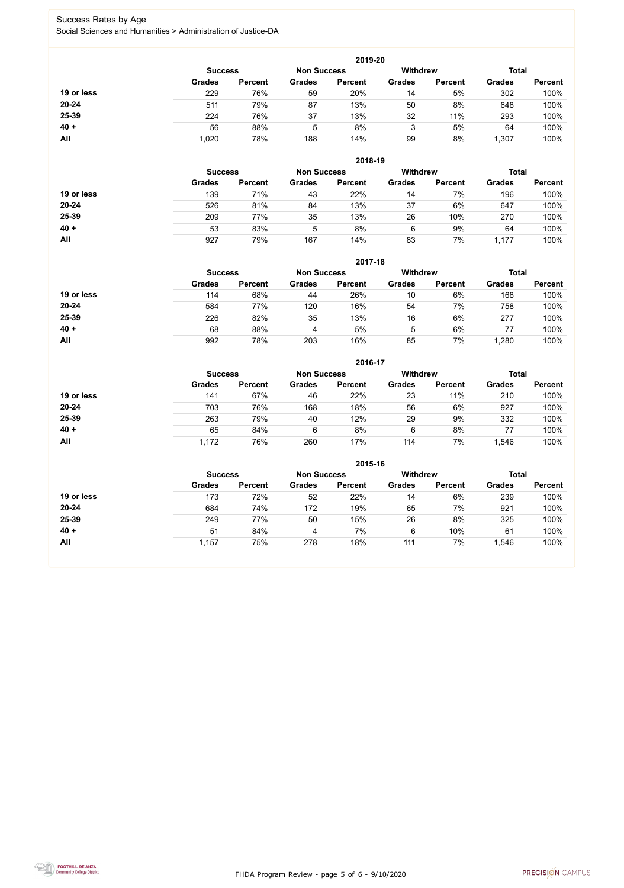FHDA Program Review - page 5 of 6 - 9/10/2020



### Success Rates by Age Social Sciences and Humanities > Administration of Justice-DA

|            |                |                |               | 2019-20            |               |                 |               |                |
|------------|----------------|----------------|---------------|--------------------|---------------|-----------------|---------------|----------------|
|            | <b>Success</b> |                |               | <b>Non Success</b> |               | <b>Withdrew</b> | <b>Total</b>  |                |
|            | <b>Grades</b>  | <b>Percent</b> | <b>Grades</b> | <b>Percent</b>     | <b>Grades</b> | <b>Percent</b>  | <b>Grades</b> | <b>Percent</b> |
| 19 or less | 229            | 76%            | 59            | 20%                | 14            | 5%              | 302           | 100%           |
| $20 - 24$  | 511            | 79%            | 87            | 13%                | 50            | 8%              | 648           | 100%           |
| 25-39      | 224            | 76%            | 37            | 13%                | 32            | 11%             | 293           | 100%           |
| $40 +$     | 56             | 88%            | 5             | 8%                 | 3             | 5%              | 64            | 100%           |
| All        | 1,020          | 78%            | 188           | 14%                | 99            | 8%              | 1,307         | 100%           |

|            |                |                |                                       | 2018-19        |               |                |               |                |
|------------|----------------|----------------|---------------------------------------|----------------|---------------|----------------|---------------|----------------|
|            | <b>Success</b> |                | <b>Withdrew</b><br><b>Non Success</b> |                |               | <b>Total</b>   |               |                |
|            | <b>Grades</b>  | <b>Percent</b> | <b>Grades</b>                         | <b>Percent</b> | <b>Grades</b> | <b>Percent</b> | <b>Grades</b> | <b>Percent</b> |
| 19 or less | 139            | 71%            | 43                                    | 22%            | 14            | 7%             | 196           | 100%           |
| $20 - 24$  | 526            | 81%            | 84                                    | 13%            | 37            | 6%             | 647           | 100%           |
| 25-39      | 209            | 77%            | 35                                    | 13%            | 26            | 10%            | 270           | 100%           |
| $40 +$     | 53             | 83%            | 5                                     | 8%             | 6             | 9%             | 64            | 100%           |
| All        | 927            | 79%            | 167                                   | 14%            | 83            | 7%             | 1,177         | 100%           |

|            |                |                |               | 2017-18            |                 |                |               |                |
|------------|----------------|----------------|---------------|--------------------|-----------------|----------------|---------------|----------------|
|            | <b>Success</b> |                |               | <b>Non Success</b> | <b>Withdrew</b> |                | <b>Total</b>  |                |
|            | <b>Grades</b>  | <b>Percent</b> | <b>Grades</b> | <b>Percent</b>     | <b>Grades</b>   | <b>Percent</b> | <b>Grades</b> | <b>Percent</b> |
| 19 or less | 114            | 68%            | 44            | 26%                | 10              | 6%             | 168           | 100%           |
| $20 - 24$  | 584            | 77%            | 120           | 16%                | 54              | 7%             | 758           | 100%           |
| 25-39      | 226            | 82%            | 35            | 13%                | 16              | 6%             | 277           | 100%           |
| $40 +$     | 68             | 88%            | 4             | 5%                 | 5               | 6%             | 77            | 100%           |
| All        | 992            | 78%            | 203           | 16%                | 85              | 7%             | ,280          | 100%           |

|            |                |                |               | 2016-17            |                 |                |               |                |
|------------|----------------|----------------|---------------|--------------------|-----------------|----------------|---------------|----------------|
|            | <b>Success</b> |                |               | <b>Non Success</b> | <b>Withdrew</b> |                | <b>Total</b>  |                |
|            | <b>Grades</b>  | <b>Percent</b> | <b>Grades</b> | <b>Percent</b>     | <b>Grades</b>   | <b>Percent</b> | <b>Grades</b> | <b>Percent</b> |
| 19 or less | 141            | 67%            | 46            | 22%                | 23              | 11%            | 210           | 100%           |
| $20 - 24$  | 703            | 76%            | 168           | 18%                | 56              | 6%             | 927           | 100%           |
| 25-39      | 263            | 79%            | 40            | 12%                | 29              | 9%             | 332           | 100%           |
| $40 +$     | 65             | 84%            | 6             | 8%                 | 6               | 8%             | 77            | 100%           |
| All        | 1,172          | 76%            | 260           | 17%                | 114             | 7%             | 1,546         | 100%           |

|            |                |                    |               | 2015-16         |               |                |               |                |
|------------|----------------|--------------------|---------------|-----------------|---------------|----------------|---------------|----------------|
|            | <b>Success</b> | <b>Non Success</b> |               | <b>Withdrew</b> |               | <b>Total</b>   |               |                |
|            | <b>Grades</b>  | <b>Percent</b>     | <b>Grades</b> | <b>Percent</b>  | <b>Grades</b> | <b>Percent</b> | <b>Grades</b> | <b>Percent</b> |
| 19 or less | 173            | 72%                | 52            | 22%             | 14            | 6%             | 239           | 100%           |
| $20 - 24$  | 684            | 74%                | 172           | 19%             | 65            | 7%             | 921           | 100%           |
| 25-39      | 249            | 77%                | 50            | 15%             | 26            | 8%             | 325           | 100%           |
| $40 +$     | 51             | 84%                | 4             | 7%              | 6             | 10%            | 61            | 100%           |
| All        | 1,157          | 75%                | 278           | 18%             | 111           | 7%             | 1,546         | 100%           |